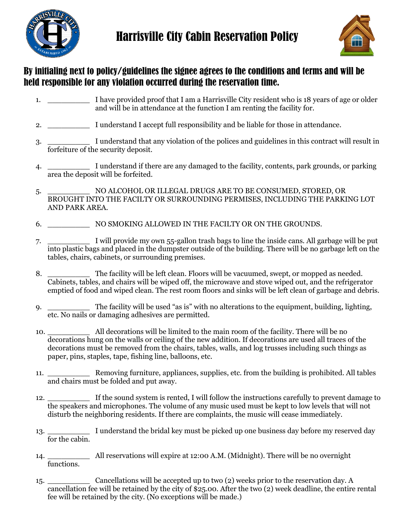



## By initialing next to policy/guidelines the signee agrees to the conditions and terms and will be held responsible for any violation occurred during the reservation time.

- 1. \_\_\_\_\_\_\_\_\_ I have provided proof that I am a Harrisville City resident who is 18 years of age or older and will be in attendance at the function I am renting the facility for.
- 2. \_\_\_\_\_\_\_\_\_ I understand I accept full responsibility and be liable for those in attendance.
- 3. \_\_\_\_\_\_\_\_\_ I understand that any violation of the polices and guidelines in this contract will result in forfeiture of the security deposit.
- 4. \_\_\_\_\_\_\_\_\_ I understand if there are any damaged to the facility, contents, park grounds, or parking area the deposit will be forfeited.
- 5. \_\_\_\_\_\_\_\_\_ NO ALCOHOL OR ILLEGAL DRUGS ARE TO BE CONSUMED, STORED, OR BROUGHT INTO THE FACILTY OR SURROUNDING PERMISES, INCLUDING THE PARKING LOT AND PARK AREA.
- 6. \_\_\_\_\_\_\_\_\_ NO SMOKING ALLOWED IN THE FACILTY OR ON THE GROUNDS.
- 7. \_\_\_\_\_\_\_\_\_ I will provide my own 55-gallon trash bags to line the inside cans. All garbage will be put into plastic bags and placed in the dumpster outside of the building. There will be no garbage left on the tables, chairs, cabinets, or surrounding premises.
- 8. The facility will be left clean. Floors will be vacuumed, swept, or mopped as needed. Cabinets, tables, and chairs will be wiped off, the microwave and stove wiped out, and the refrigerator emptied of food and wiped clean. The rest room floors and sinks will be left clean of garbage and debris.
- 9. The facility will be used "as is" with no alterations to the equipment, building, lighting, etc. No nails or damaging adhesives are permitted.
- 10. \_\_\_\_\_\_\_\_\_ All decorations will be limited to the main room of the facility. There will be no decorations hung on the walls or ceiling of the new addition. If decorations are used all traces of the decorations must be removed from the chairs, tables, walls, and log trusses including such things as paper, pins, staples, tape, fishing line, balloons, etc.
- 11. \_\_\_\_\_\_\_\_\_ Removing furniture, appliances, supplies, etc. from the building is prohibited. All tables and chairs must be folded and put away.
- 12. \_\_\_\_\_\_\_\_\_ If the sound system is rented, I will follow the instructions carefully to prevent damage to the speakers and microphones. The volume of any music used must be kept to low levels that will not disturb the neighboring residents. If there are complaints, the music will cease immediately.
- 13. I understand the bridal key must be picked up one business day before my reserved day for the cabin.
- 14. \_\_\_\_\_\_\_\_\_ All reservations will expire at 12:00 A.M. (Midnight). There will be no overnight functions.
- 15. \_\_\_\_\_\_\_\_\_ Cancellations will be accepted up to two (2) weeks prior to the reservation day. A cancellation fee will be retained by the city of \$25.00. After the two (2) week deadline, the entire rental fee will be retained by the city. (No exceptions will be made.)